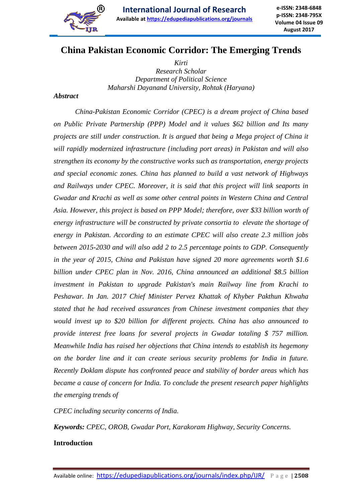

# **China Pakistan Economic Corridor: The Emerging Trends**

*Kirti Research Scholar Department of Political Science Maharshi Dayanand University, Rohtak (Haryana)*

#### *Abstract*

*China-Pakistan Economic Corridor (CPEC) is a dream project of China based on Public Private Partnership (PPP) Model and it values \$62 billion and Its many projects are still under construction. It is argued that being a Mega project of China it will rapidly modernized infrastructure {including port areas) in Pakistan and will also strengthen its economy by the constructive works such as transportation, energy projects and special economic zones. China has planned to build a vast network of Highways and Railways under CPEC. Moreover, it is said that this project will link seaports in Gwadar and Krachi as well as some other central points in Western China and Central Asia. However, this project is based on PPP Model; therefore, over \$33 billion worth of energy infrastructure will be constructed by private consortia to elevate the shortage of energy in Pakistan. According to an estimate CPEC will also create 2.3 million jobs between 2015-2030 and will also add 2 to 2.5 percentage points to GDP. Consequently in the year of 2015, China and Pakistan have signed 20 more agreements worth \$1.6 billion under CPEC plan in Nov. 2016, China announced an additional \$8.5 billion investment in Pakistan to upgrade Pakistan's main Railway line from Krachi to Peshawar. In Jan. 2017 Chief Minister Pervez Khattak of Khyber Pakthun Khwaha stated that he had received assurances from Chinese investment companies that they would invest up to \$20 billion for different projects. China has also announced to provide interest free loans for several projects in Gwadar totaling \$ 757 million. Meanwhile India has raised her objections that China intends to establish its hegemony on the border line and it can create serious security problems for India in future. Recently Doklam dispute has confronted peace and stability of border areas which has became a cause of concern for India. To conclude the present research paper highlights the emerging trends of*

*CPEC including security concerns of India.*

*Keywords: CPEC, OROB, Gwadar Port, Karakoram Highway, Security Concerns.*

#### **Introduction**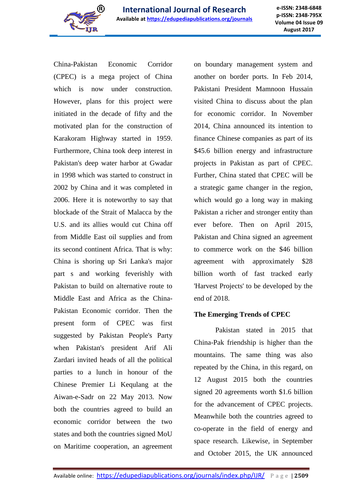

**e-ISSN: 2348-6848 p-ISSN: 2348-795X Volume 04 Issue 09 August 2017**

China-Pakistan Economic Corridor (CPEC) is a mega project of China which is now under construction. However, plans for this project were initiated in the decade of fifty and the motivated plan for the construction of Karakoram Highway started in 1959. Furthermore, China took deep interest in Pakistan's deep water harbor at Gwadar in 1998 which was started to construct in 2002 by China and it was completed in 2006. Here it is noteworthy to say that blockade of the Strait of Malacca by the U.S. and its allies would cut China off from Middle East oil supplies and from its second continent Africa. That is why: China is shoring up Sri Lanka's major part s and working feverishly with Pakistan to build on alternative route to Middle East and Africa as the China-Pakistan Economic corridor. Then the present form of CPEC was first suggested by Pakistan People's Party when Pakistan's president Arif Ali Zardari invited heads of all the political parties to a lunch in honour of the Chinese Premier Li Kequlang at the Aiwan-e-Sadr on 22 May 2013. Now both the countries agreed to build an economic corridor between the two states and both the countries signed MoU on Maritime cooperation, an agreement on boundary management system and another on border ports. In Feb 2014, Pakistani President Mamnoon Hussain visited China to discuss about the plan for economic corridor. In November 2014, China announced its intention to finance Chinese companies as part of its \$45.6 billion energy and infrastructure projects in Pakistan as part of CPEC. Further, China stated that CPEC will be a strategic game changer in the region, which would go a long way in making Pakistan a richer and stronger entity than ever before. Then on April 2015, Pakistan and China signed an agreement to commerce work on the \$46 billion agreement with approximately \$28 billion worth of fast tracked early 'Harvest Projects' to be developed by the end of 2018.

#### **The Emerging Trends of CPEC**

Pakistan stated in 2015 that China-Pak friendship is higher than the mountains. The same thing was also repeated by the China, in this regard, on 12 August 2015 both the countries signed 20 agreements worth \$1.6 billion for the advancement of CPEC projects. Meanwhile both the countries agreed to co-operate in the field of energy and space research. Likewise, in September and October 2015, the UK announced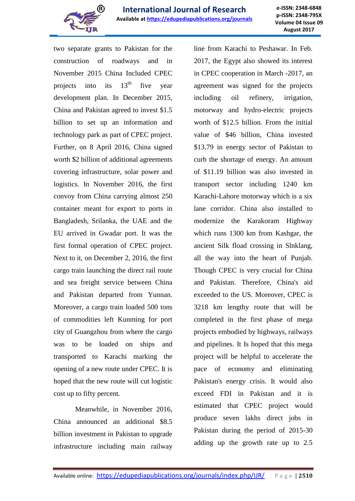

two separate grants to Pakistan for the construction of roadways and in November 2015 China Included CPEC projects into its  $13<sup>th</sup>$  five year development plan. In December 2015, China and Pakistan agreed to invest \$1.5 billion to set up an information and technology park as part of CPEC project. Further, on 8 April 2016, China signed worth \$2 billion of additional agreements covering infrastructure, solar power and logistics. In November 2016, the first convoy from China carrying almost 250 container meant for export to ports in Bangladesh, Srilanka, the UAE and the EU arrived in Gwadar port. It was the first formal operation of CPEC project. Next to it, on December 2, 2016, the first cargo train launching the direct rail route and sea freight service between China and Pakistan departed from Yunnan. Moreover, a cargo train loaded 500 tons of commodities left Kunming for port city of Guangzhou from where the cargo was to be loaded on ships and transported to Karachi marking the opening of a new route under CPEC. It is hoped that the new route will cut logistic cost up to fifty percent.

Meanwhile, in November 2016, China announced an additional \$8.5 billion investment in Pakistan to upgrade infrastructure including main railway

line from Karachi to Peshawar. In Feb. 2017, the Egypt also showed its interest in CPEC cooperation in March -2017, an agreement was signed for the projects including oil refinery, irrigation, motorway and hydro-electric projects worth of \$12.5 billion. From the initial value of \$46 billion, China invested \$13.79 in energy sector of Pakistan to curb the shortage of energy. An amount of \$11.19 billion was also invested in transport sector including 1240 km Karachi-Lahore motorway which is a six lane corridor. China also installed to modernize the Karakoram Highway which runs 1300 km from Kashgar, the ancient Silk fload crossing in Slnklang, all the way into the heart of Punjab. Though CPEC is very crucial for China and Pakistan. Therefore, China's aid exceeded to the US. Moreover, CPEC is 3218 km lengthy route that will be completed in the first phase of mega projects embodied by highways, railways and pipelines. It Is hoped that this mega project will be helpful to accelerate the pace of economy and eliminating Pakistan's energy crisis. It would also exceed FDI in Pakistan and it is estimated that CPEC project would produce seven lakhs direct jobs in Pakistan during the period of 2015-30 adding up the growth rate up to 2.5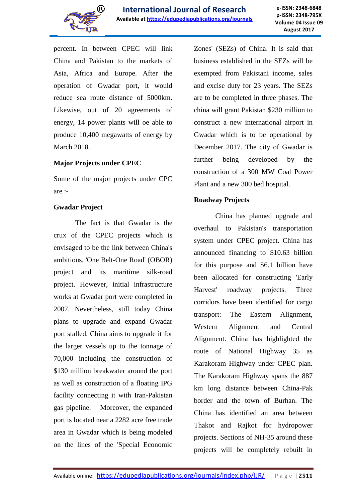

percent. In between CPEC will link China and Pakistan to the markets of Asia, Africa and Europe. After the operation of Gwadar port, it would reduce sea route distance of 5000km. Likewise, out of 20 agreements of energy, 14 power plants will oe able to produce 10,400 megawatts of energy by March 2018.

# **Major Projects under CPEC**

Some of the major projects under CPC are :-

#### **Gwadar Project**

The fact is that Gwadar is the crux of the CPEC projects which is envisaged to be the link between China's ambitious, 'One Belt-One Road' (OBOR) project and its maritime silk-road project. However, initial infrastructure works at Gwadar port were completed in 2007. Nevertheless, still today China plans to upgrade and expand Gwadar port stalled. China aims to upgrade it for the larger vessels up to the tonnage of 70,000 including the construction of \$130 million breakwater around the port as well as construction of a floating IPG facility connecting it with Iran-Pakistan gas pipeline. Moreover, the expanded port is located near a 2282 acre free trade area in Gwadar which is being modeled on the lines of the 'Special Economic

Zones' (SEZs) of China. It is said that business established in the SEZs will be exempted from Pakistani income, sales and excise duty for 23 years. The SEZs are to be completed in three phases. The china will grant Pakistan \$230 million to construct a new international airport in Gwadar which is to be operational by December 2017. The city of Gwadar is further being developed by the construction of a 300 MW Coal Power Plant and a new 300 bed hospital.

# **Roadway Projects**

China has planned upgrade and overhaul to Pakistan's transportation system under CPEC project. China has announced financing to \$10.63 billion for this purpose and \$6.1 billion have been allocated for constructing 'Early Harvest' roadway projects. Three corridors have been identified for cargo transport: The Eastern Alignment, Western Alignment and Central Alignment. China has highlighted the route of National Highway 35 as Karakoram Highway under CPEC plan. The Karakoram Highway spans the 887 km long distance between China-Pak border and the town of Burhan. The China has identified an area between Thakot and Rajkot for hydropower projects. Sections of NH-35 around these projects will be completely rebuilt in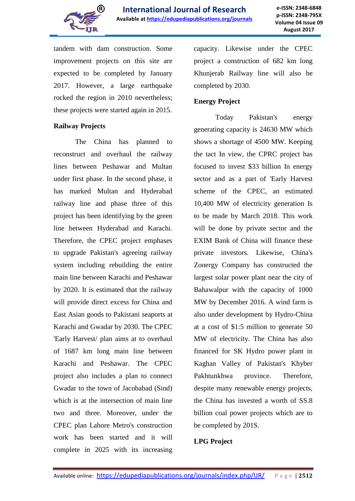

tandem with dam construction. Some improvement projects on this site are expected to be completed by January 2017. However, a large earthquake rocked the region in 2010 nevertheless; these projects were started again in 2015.

#### **Railway Projects**

The China has planned to reconstruct and overhaul the railway lines between Peshawar and Multan under first phase. In the second phase, it has marked Multan and Hyderabad railway line and phase three of this project has been identifying by the green line between Hyderabad and Karachi. Therefore, the CPEC project emphases to upgrade Pakistan's agreeing railway system including rebuilding the entire main line between Karachi and Peshawar by 2020. It is estimated that the railway will provide direct excess for China and East Asian goods to Pakistani seaports at Karachi and Gwadar by 2030. The CPEC 'Early Harvest/ plan aims at to overhaul of 1687 km long main line between Karachi and Peshawar. The CPEC project also includes a plan to connect Gwadar to the town of Jacobabad (Sind) which is at the intersection of main line two and three. Moreover, under the CPEC plan Lahore Metro's construction work has been started and it will complete in 2025 with its increasing

capacity. Likewise under the CPEC project a construction of 682 km long Khunjerab Railway line will also be completed by 2030.

#### **Energy Project**

Today Pakistan's energy generating capacity is 24630 MW which shows a shortage of 4500 MW. Keeping the tact In view, the CPRC project has focused to invest \$33 billion In energy sector and as a part of 'Early Harvest scheme of the CPEC, an estimated 10,400 MW of electricity generation Is to be made by March 2018. This work will be done by private sector and the EXIM Bank of China will finance these private investors. Likewise, China's Zonergy Company has constructed the largest solar power plant near the city of Bahawalpur with the capacity of 1000 MW by December 2016. A wind farm is also under development by Hydro-China at a cost of \$1:5 million to generate 50 MW of electricity. The China has also financed for SK Hydro power plant in Kaghan Valley of Pakistan's Khyber Pakhtunkhwa province. Therefore, despite many renewable energy projects, the China has invested a worth of SS.8 billion coal power projects which are to be completed by 201S.

# **LPG Project**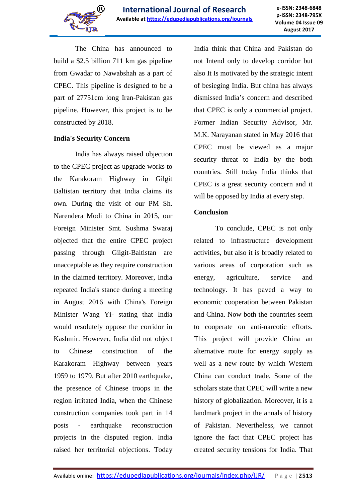

The China has announced to build a \$2.5 billion 711 km gas pipeline from Gwadar to Nawabshah as a part of CPEC. This pipeline is designed to be a part of 27751cm long Iran-Pakistan gas pipeline. However, this project is to be constructed by 2018.

#### **India's Security Concern**

India has always raised objection to the CPEC project as upgrade works to the Karakoram Highway in Gilgit Baltistan territory that India claims its own. During the visit of our PM Sh. Narendera Modi to China in 2015, our Foreign Minister Smt. Sushma Swaraj objected that the entire CPEC project passing through Giigit-Baltistan are unacceptable as they require construction in the claimed territory. Moreover, India repeated India's stance during a meeting in August 2016 with China's Foreign Minister Wang Yi- stating that India would resolutely oppose the corridor in Kashmir. However, India did not object to Chinese construction of the Karakoram Highway between years 1959 to 1979. But after 2010 earthquake, the presence of Chinese troops in the region irritated India, when the Chinese construction companies took part in 14 posts - earthquake reconstruction projects in the disputed region. India raised her territorial objections. Today

India think that China and Pakistan do not Intend only to develop corridor but also It Is motivated by the strategic intent of besieging India. But china has always dismissed India's concern and described that CPEC is only a commercial project. Former Indian Security Advisor, Mr. M.K. Narayanan stated in May 2016 that CPEC must be viewed as a major security threat to India by the both countries. Still today India thinks that CPEC is a great security concern and it will be opposed by India at every step.

# **Conclusion**

To conclude, CPEC is not only related to infrastructure development activities, but also it is broadly related to various areas of corporation such as energy, agriculture, service and technology. It has paved a way to economic cooperation between Pakistan and China. Now both the countries seem to cooperate on anti-narcotic efforts. This project will provide China an alternative route for energy supply as well as a new route by which Western China can conduct trade. Some of the scholars state that CPEC will write a new history of globalization. Moreover, it is a landmark project in the annals of history of Pakistan. Nevertheless, we cannot ignore the fact that CPEC project has created security tensions for India. That